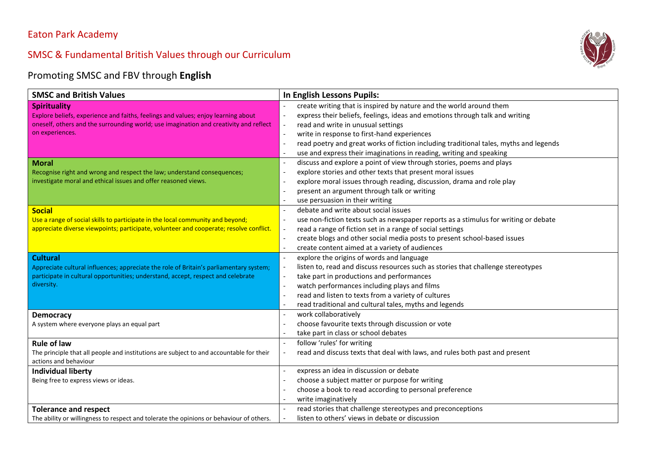#### Eaton Park Academy

# SMSC & Fundamental British Values through our Curriculum



#### Promoting SMSC and FBV through **English**

| <b>SMSC and British Values</b>                                                                                   | In English Lessons Pupils:                                                                                      |
|------------------------------------------------------------------------------------------------------------------|-----------------------------------------------------------------------------------------------------------------|
| <b>Spirituality</b>                                                                                              | create writing that is inspired by nature and the world around them                                             |
| Explore beliefs, experience and faiths, feelings and values; enjoy learning about                                | express their beliefs, feelings, ideas and emotions through talk and writing                                    |
| oneself, others and the surrounding world; use imagination and creativity and reflect                            | read and write in unusual settings                                                                              |
| on experiences.                                                                                                  | write in response to first-hand experiences<br>$\overline{\phantom{a}}$                                         |
|                                                                                                                  | read poetry and great works of fiction including traditional tales, myths and legends                           |
|                                                                                                                  | use and express their imaginations in reading, writing and speaking                                             |
| <b>Moral</b>                                                                                                     | discuss and explore a point of view through stories, poems and plays<br>$\overline{\phantom{a}}$                |
| Recognise right and wrong and respect the law; understand consequences;                                          | explore stories and other texts that present moral issues                                                       |
| investigate moral and ethical issues and offer reasoned views.                                                   | explore moral issues through reading, discussion, drama and role play                                           |
|                                                                                                                  | present an argument through talk or writing                                                                     |
|                                                                                                                  | use persuasion in their writing                                                                                 |
| <b>Social</b>                                                                                                    | debate and write about social issues                                                                            |
| Use a range of social skills to participate in the local community and beyond;                                   | use non-fiction texts such as newspaper reports as a stimulus for writing or debate<br>$\overline{\phantom{a}}$ |
| appreciate diverse viewpoints; participate, volunteer and cooperate; resolve conflict.                           | read a range of fiction set in a range of social settings                                                       |
|                                                                                                                  | create blogs and other social media posts to present school-based issues                                        |
|                                                                                                                  | create content aimed at a variety of audiences                                                                  |
| <b>Cultural</b>                                                                                                  | explore the origins of words and language                                                                       |
| Appreciate cultural influences; appreciate the role of Britain's parliamentary system;                           | listen to, read and discuss resources such as stories that challenge stereotypes                                |
| participate in cultural opportunities; understand, accept, respect and celebrate                                 | take part in productions and performances                                                                       |
| diversity.                                                                                                       | watch performances including plays and films                                                                    |
|                                                                                                                  | read and listen to texts from a variety of cultures                                                             |
|                                                                                                                  | read traditional and cultural tales, myths and legends                                                          |
| <b>Democracy</b>                                                                                                 | work collaboratively                                                                                            |
| A system where everyone plays an equal part                                                                      | choose favourite texts through discussion or vote                                                               |
|                                                                                                                  | take part in class or school debates                                                                            |
| <b>Rule of law</b>                                                                                               | follow 'rules' for writing                                                                                      |
| The principle that all people and institutions are subject to and accountable for their<br>actions and behaviour | read and discuss texts that deal with laws, and rules both past and present                                     |
| <b>Individual liberty</b>                                                                                        | express an idea in discussion or debate                                                                         |
| Being free to express views or ideas.                                                                            | choose a subject matter or purpose for writing                                                                  |
|                                                                                                                  | choose a book to read according to personal preference                                                          |
|                                                                                                                  | write imaginatively                                                                                             |
| <b>Tolerance and respect</b>                                                                                     | read stories that challenge stereotypes and preconceptions                                                      |
| The ability or willingness to respect and tolerate the opinions or behaviour of others.                          | listen to others' views in debate or discussion                                                                 |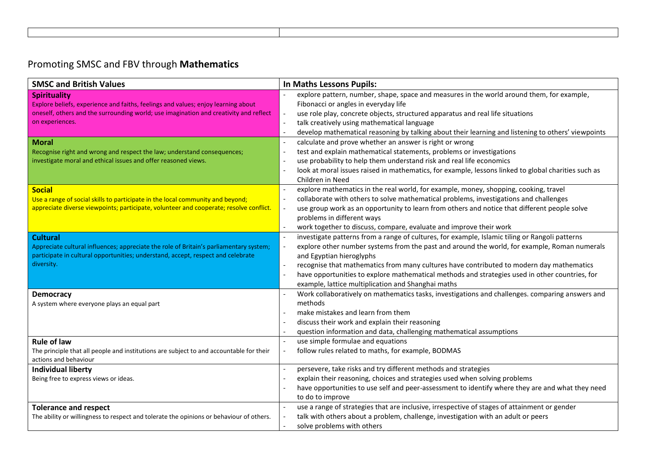## Promoting SMSC and FBV through **Mathematics**

| <b>SMSC and British Values</b>                                                                 | In Maths Lessons Pupils:                                                                                                                             |
|------------------------------------------------------------------------------------------------|------------------------------------------------------------------------------------------------------------------------------------------------------|
| <b>Spirituality</b>                                                                            | explore pattern, number, shape, space and measures in the world around them, for example,                                                            |
| Explore beliefs, experience and faiths, feelings and values; enjoy learning about              | Fibonacci or angles in everyday life                                                                                                                 |
| oneself, others and the surrounding world; use imagination and creativity and reflect          | use role play, concrete objects, structured apparatus and real life situations<br>$\overline{\phantom{a}}$                                           |
| on experiences.                                                                                | talk creatively using mathematical language<br>$\overline{\phantom{a}}$                                                                              |
|                                                                                                | develop mathematical reasoning by talking about their learning and listening to others' viewpoints                                                   |
| <b>Moral</b>                                                                                   | calculate and prove whether an answer is right or wrong<br>$\overline{a}$                                                                            |
| Recognise right and wrong and respect the law; understand consequences;                        | test and explain mathematical statements, problems or investigations<br>$\overline{a}$                                                               |
| investigate moral and ethical issues and offer reasoned views.                                 | use probability to help them understand risk and real life economics                                                                                 |
|                                                                                                | look at moral issues raised in mathematics, for example, lessons linked to global charities such as<br>$\overline{\phantom{a}}$                      |
|                                                                                                | Children in Need                                                                                                                                     |
| <b>Social</b>                                                                                  | explore mathematics in the real world, for example, money, shopping, cooking, travel<br>$\overline{\phantom{a}}$                                     |
| Use a range of social skills to participate in the local community and beyond;                 | collaborate with others to solve mathematical problems, investigations and challenges<br>$\overline{\phantom{a}}$                                    |
| appreciate diverse viewpoints; participate, volunteer and cooperate; resolve conflict.         | use group work as an opportunity to learn from others and notice that different people solve<br>$\overline{\phantom{a}}$                             |
|                                                                                                | problems in different ways                                                                                                                           |
|                                                                                                | work together to discuss, compare, evaluate and improve their work                                                                                   |
| <b>Cultural</b>                                                                                | investigate patterns from a range of cultures, for example, Islamic tiling or Rangoli patterns<br>$\blacksquare$                                     |
| Appreciate cultural influences; appreciate the role of Britain's parliamentary system;         | explore other number systems from the past and around the world, for example, Roman numerals<br>$\blacksquare$                                       |
| participate in cultural opportunities; understand, accept, respect and celebrate<br>diversity. | and Egyptian hieroglyphs                                                                                                                             |
|                                                                                                | recognise that mathematics from many cultures have contributed to modern day mathematics<br>$\overline{\phantom{a}}$<br>$\overline{\phantom{a}}$     |
|                                                                                                | have opportunities to explore mathematical methods and strategies used in other countries, for<br>example, lattice multiplication and Shanghai maths |
|                                                                                                | Work collaboratively on mathematics tasks, investigations and challenges. comparing answers and                                                      |
| <b>Democracy</b><br>A system where everyone plays an equal part                                | methods                                                                                                                                              |
|                                                                                                | make mistakes and learn from them                                                                                                                    |
|                                                                                                | discuss their work and explain their reasoning                                                                                                       |
|                                                                                                | question information and data, challenging mathematical assumptions                                                                                  |
| <b>Rule of law</b>                                                                             | use simple formulae and equations<br>$\overline{\phantom{a}}$                                                                                        |
| The principle that all people and institutions are subject to and accountable for their        | follow rules related to maths, for example, BODMAS                                                                                                   |
| actions and behaviour                                                                          |                                                                                                                                                      |
| <b>Individual liberty</b>                                                                      | persevere, take risks and try different methods and strategies                                                                                       |
| Being free to express views or ideas.                                                          | explain their reasoning, choices and strategies used when solving problems                                                                           |
|                                                                                                | have opportunities to use self and peer-assessment to identify where they are and what they need                                                     |
|                                                                                                | to do to improve                                                                                                                                     |
| <b>Tolerance and respect</b>                                                                   | use a range of strategies that are inclusive, irrespective of stages of attainment or gender                                                         |
| The ability or willingness to respect and tolerate the opinions or behaviour of others.        | talk with others about a problem, challenge, investigation with an adult or peers                                                                    |
|                                                                                                | solve problems with others                                                                                                                           |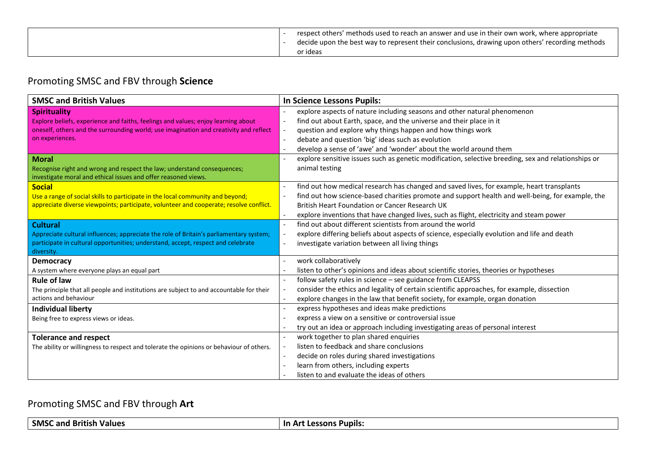| respect others' methods used to reach an answer and use in their own work, where appropriate<br>decide upon the best way to represent their conclusions, drawing upon others' recording methods<br>or ideas |
|-------------------------------------------------------------------------------------------------------------------------------------------------------------------------------------------------------------|
|-------------------------------------------------------------------------------------------------------------------------------------------------------------------------------------------------------------|

## Promoting SMSC and FBV through **Science**

| <b>SMSC and British Values</b>                                                                                                                                                                                       | <b>In Science Lessons Pupils:</b>                                                                                                                                                                                                                                                                                                                                                                                                             |
|----------------------------------------------------------------------------------------------------------------------------------------------------------------------------------------------------------------------|-----------------------------------------------------------------------------------------------------------------------------------------------------------------------------------------------------------------------------------------------------------------------------------------------------------------------------------------------------------------------------------------------------------------------------------------------|
| <b>Spirituality</b><br>Explore beliefs, experience and faiths, feelings and values; enjoy learning about<br>oneself, others and the surrounding world; use imagination and creativity and reflect<br>on experiences. | explore aspects of nature including seasons and other natural phenomenon<br>$\blacksquare$<br>find out about Earth, space, and the universe and their place in it<br>$\overline{\phantom{a}}$<br>question and explore why things happen and how things work<br>$\overline{\phantom{a}}$<br>debate and question 'big' ideas such as evolution<br>$\overline{\phantom{a}}$<br>develop a sense of 'awe' and 'wonder' about the world around them |
| <b>Moral</b><br>Recognise right and wrong and respect the law; understand consequences;<br>investigate moral and ethical issues and offer reasoned views.                                                            | explore sensitive issues such as genetic modification, selective breeding, sex and relationships or<br>$\overline{\phantom{a}}$<br>animal testing                                                                                                                                                                                                                                                                                             |
| <b>Social</b><br>Use a range of social skills to participate in the local community and beyond;<br>appreciate diverse viewpoints; participate, volunteer and cooperate; resolve conflict.                            | find out how medical research has changed and saved lives, for example, heart transplants<br>$\overline{\phantom{a}}$<br>find out how science-based charities promote and support health and well-being, for example, the<br>$\overline{\phantom{a}}$<br>British Heart Foundation or Cancer Research UK<br>explore inventions that have changed lives, such as flight, electricity and steam power<br>$\sim$                                  |
| <b>Cultural</b><br>Appreciate cultural influences; appreciate the role of Britain's parliamentary system;<br>participate in cultural opportunities; understand, accept, respect and celebrate<br>diversity.          | find out about different scientists from around the world<br>$\overline{\phantom{a}}$<br>explore differing beliefs about aspects of science, especially evolution and life and death<br>$\overline{\phantom{a}}$<br>investigate variation between all living things<br>$\overline{\phantom{a}}$                                                                                                                                               |
| <b>Democracy</b><br>A system where everyone plays an equal part                                                                                                                                                      | work collaboratively<br>listen to other's opinions and ideas about scientific stories, theories or hypotheses                                                                                                                                                                                                                                                                                                                                 |
| <b>Rule of law</b><br>The principle that all people and institutions are subject to and accountable for their<br>actions and behaviour                                                                               | follow safety rules in science - see guidance from CLEAPSS<br>$\sim$<br>consider the ethics and legality of certain scientific approaches, for example, dissection<br>$\overline{\phantom{a}}$<br>explore changes in the law that benefit society, for example, organ donation<br>$\overline{\phantom{a}}$                                                                                                                                    |
| <b>Individual liberty</b><br>Being free to express views or ideas.                                                                                                                                                   | express hypotheses and ideas make predictions<br>$\overline{\phantom{a}}$<br>express a view on a sensitive or controversial issue<br>try out an idea or approach including investigating areas of personal interest                                                                                                                                                                                                                           |
| <b>Tolerance and respect</b><br>The ability or willingness to respect and tolerate the opinions or behaviour of others.                                                                                              | work together to plan shared enquiries<br>$\blacksquare$<br>listen to feedback and share conclusions<br>$\overline{\phantom{a}}$<br>decide on roles during shared investigations<br>$\overline{\phantom{a}}$<br>learn from others, including experts<br>$\overline{\phantom{a}}$<br>listen to and evaluate the ideas of others                                                                                                                |

#### Promoting SMSC and FBV through **Art**

| <b>SMSC</b><br>. British<br>∶and<br><b>Values</b> | <b>Pupils:</b><br>ssons |
|---------------------------------------------------|-------------------------|
|---------------------------------------------------|-------------------------|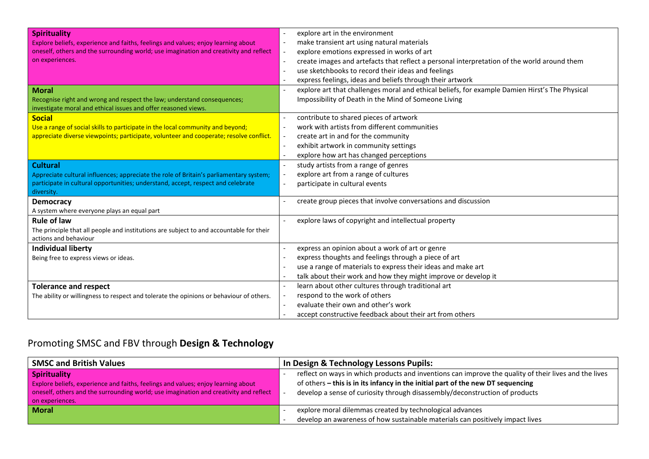| <b>Spirituality</b><br>Explore beliefs, experience and faiths, feelings and values; enjoy learning about<br>oneself, others and the surrounding world; use imagination and creativity and reflect<br>on experiences.<br><b>Moral</b> | explore art in the environment<br>make transient art using natural materials<br>explore emotions expressed in works of art<br>$\overline{\phantom{a}}$<br>create images and artefacts that reflect a personal interpretation of the world around them<br>÷,<br>use sketchbooks to record their ideas and feelings<br>$\overline{\phantom{a}}$<br>express feelings, ideas and beliefs through their artwork<br>explore art that challenges moral and ethical beliefs, for example Damien Hirst's The Physical |
|--------------------------------------------------------------------------------------------------------------------------------------------------------------------------------------------------------------------------------------|--------------------------------------------------------------------------------------------------------------------------------------------------------------------------------------------------------------------------------------------------------------------------------------------------------------------------------------------------------------------------------------------------------------------------------------------------------------------------------------------------------------|
| Recognise right and wrong and respect the law; understand consequences;<br>investigate moral and ethical issues and offer reasoned views.                                                                                            | Impossibility of Death in the Mind of Someone Living                                                                                                                                                                                                                                                                                                                                                                                                                                                         |
| <b>Social</b><br>Use a range of social skills to participate in the local community and beyond;<br>appreciate diverse viewpoints; participate, volunteer and cooperate; resolve conflict.                                            | contribute to shared pieces of artwork<br>$\sim$<br>work with artists from different communities<br>create art in and for the community<br>$\overline{\phantom{a}}$<br>exhibit artwork in community settings<br>$\overline{\phantom{a}}$<br>explore how art has changed perceptions                                                                                                                                                                                                                          |
| <b>Cultural</b><br>Appreciate cultural influences; appreciate the role of Britain's parliamentary system;<br>participate in cultural opportunities; understand, accept, respect and celebrate<br>diversity.                          | study artists from a range of genres<br>$\blacksquare$<br>explore art from a range of cultures<br>participate in cultural events                                                                                                                                                                                                                                                                                                                                                                             |
| <b>Democracy</b><br>A system where everyone plays an equal part                                                                                                                                                                      | create group pieces that involve conversations and discussion                                                                                                                                                                                                                                                                                                                                                                                                                                                |
| <b>Rule of law</b><br>The principle that all people and institutions are subject to and accountable for their<br>actions and behaviour                                                                                               | explore laws of copyright and intellectual property                                                                                                                                                                                                                                                                                                                                                                                                                                                          |
| <b>Individual liberty</b><br>Being free to express views or ideas.                                                                                                                                                                   | express an opinion about a work of art or genre<br>$\overline{a}$<br>express thoughts and feelings through a piece of art<br>use a range of materials to express their ideas and make art<br>$\overline{\phantom{a}}$<br>talk about their work and how they might improve or develop it                                                                                                                                                                                                                      |
| <b>Tolerance and respect</b><br>The ability or willingness to respect and tolerate the opinions or behaviour of others.                                                                                                              | learn about other cultures through traditional art<br>$\blacksquare$<br>respond to the work of others<br>evaluate their own and other's work<br>accept constructive feedback about their art from others                                                                                                                                                                                                                                                                                                     |

## Promoting SMSC and FBV through **Design & Technology**

| <b>SMSC and British Values</b>                                                        | In Design & Technology Lessons Pupils:                                                                |
|---------------------------------------------------------------------------------------|-------------------------------------------------------------------------------------------------------|
| <b>Spirituality</b>                                                                   | reflect on ways in which products and inventions can improve the quality of their lives and the lives |
| Explore beliefs, experience and faiths, feelings and values; enjoy learning about     | of others – this is in its infancy in the initial part of the new DT sequencing                       |
| oneself, others and the surrounding world; use imagination and creativity and reflect | develop a sense of curiosity through disassembly/deconstruction of products                           |
| on experiences.                                                                       | explore moral dilemmas created by technological advances                                              |
| <b>Moral</b>                                                                          | develop an awareness of how sustainable materials can positively impact lives                         |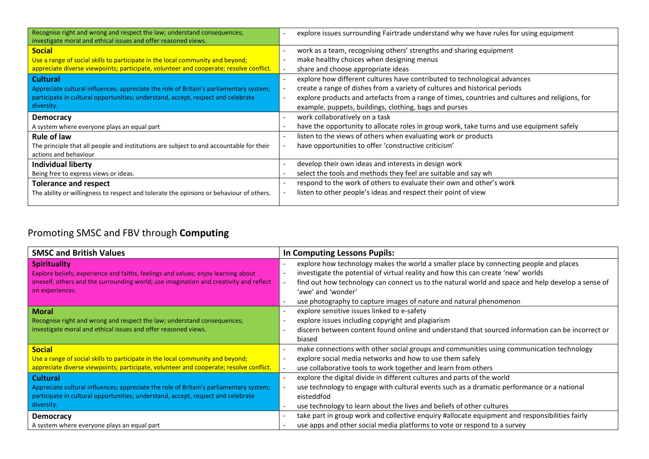| Recognise right and wrong and respect the law; understand consequences;<br>investigate moral and ethical issues and offer reasoned views. | explore issues surrounding Fairtrade understand why we have rules for using equipment                                       |
|-------------------------------------------------------------------------------------------------------------------------------------------|-----------------------------------------------------------------------------------------------------------------------------|
| <b>Social</b>                                                                                                                             | work as a team, recognising others' strengths and sharing equipment                                                         |
| Use a range of social skills to participate in the local community and beyond;                                                            | make healthy choices when designing menus                                                                                   |
| appreciate diverse viewpoints; participate, volunteer and cooperate; resolve conflict.                                                    | share and choose appropriate ideas                                                                                          |
| <b>Cultural</b>                                                                                                                           | explore how different cultures have contributed to technological advances                                                   |
| Appreciate cultural influences; appreciate the role of Britain's parliamentary system;                                                    | create a range of dishes from a variety of cultures and historical periods<br>$\overline{\phantom{a}}$                      |
| participate in cultural opportunities; understand, accept, respect and celebrate                                                          | explore products and artefacts from a range of times, countries and cultures and religions, for<br>$\overline{\phantom{a}}$ |
| diversity.                                                                                                                                | example, puppets, buildings, clothing, bags and purses                                                                      |
| <b>Democracy</b>                                                                                                                          | work collaboratively on a task                                                                                              |
| A system where everyone plays an equal part                                                                                               | have the opportunity to allocate roles in group work, take turns and use equipment safely                                   |
| <b>Rule of law</b>                                                                                                                        | listen to the views of others when evaluating work or products                                                              |
| The principle that all people and institutions are subject to and accountable for their                                                   | have opportunities to offer 'constructive criticism'                                                                        |
| actions and behaviour                                                                                                                     |                                                                                                                             |
| <b>Individual liberty</b>                                                                                                                 | develop their own ideas and interests in design work                                                                        |
| Being free to express views or ideas.                                                                                                     | select the tools and methods they feel are suitable and say wh                                                              |
| <b>Tolerance and respect</b>                                                                                                              | respond to the work of others to evaluate their own and other's work                                                        |
| The ability or willingness to respect and tolerate the opinions or behaviour of others.                                                   | listen to other people's ideas and respect their point of view                                                              |
|                                                                                                                                           |                                                                                                                             |

## Promoting SMSC and FBV through **Computing**

| <b>SMSC and British Values</b>                                                                                                                                                                                       | In Computing Lessons Pupils:                                                                                                                                                                                                                                                                                                                                                                             |
|----------------------------------------------------------------------------------------------------------------------------------------------------------------------------------------------------------------------|----------------------------------------------------------------------------------------------------------------------------------------------------------------------------------------------------------------------------------------------------------------------------------------------------------------------------------------------------------------------------------------------------------|
| <b>Spirituality</b><br>Explore beliefs, experience and faiths, feelings and values; enjoy learning about<br>oneself, others and the surrounding world; use imagination and creativity and reflect<br>on experiences. | explore how technology makes the world a smaller place by connecting people and places<br>investigate the potential of virtual reality and how this can create 'new' worlds<br>find out how technology can connect us to the natural world and space and help develop a sense of<br>$\overline{\phantom{a}}$<br>'awe' and 'wonder'<br>use photography to capture images of nature and natural phenomenon |
| <b>Moral</b><br>Recognise right and wrong and respect the law; understand consequences;<br>investigate moral and ethical issues and offer reasoned views.                                                            | explore sensitive issues linked to e-safety<br>explore issues including copyright and plagiarism<br>discern between content found online and understand that sourced information can be incorrect or<br>$\overline{\phantom{a}}$<br>biased                                                                                                                                                               |
| <b>Social</b><br>Use a range of social skills to participate in the local community and beyond;<br>appreciate diverse viewpoints; participate, volunteer and cooperate; resolve conflict.                            | make connections with other social groups and communities using communication technology<br>$\overline{\phantom{a}}$<br>explore social media networks and how to use them safely<br>use collaborative tools to work together and learn from others                                                                                                                                                       |
| <b>Cultural</b><br>Appreciate cultural influences; appreciate the role of Britain's parliamentary system;<br>participate in cultural opportunities; understand, accept, respect and celebrate<br>diversity.          | explore the digital divide in different cultures and parts of the world<br>use technology to engage with cultural events such as a dramatic performance or a national<br>eisteddfod<br>use technology to learn about the lives and beliefs of other cultures                                                                                                                                             |
| <b>Democracy</b><br>A system where everyone plays an equal part                                                                                                                                                      | take part in group work and collective enquiry #allocate equipment and responsibilities fairly<br>use apps and other social media platforms to vote or respond to a survey                                                                                                                                                                                                                               |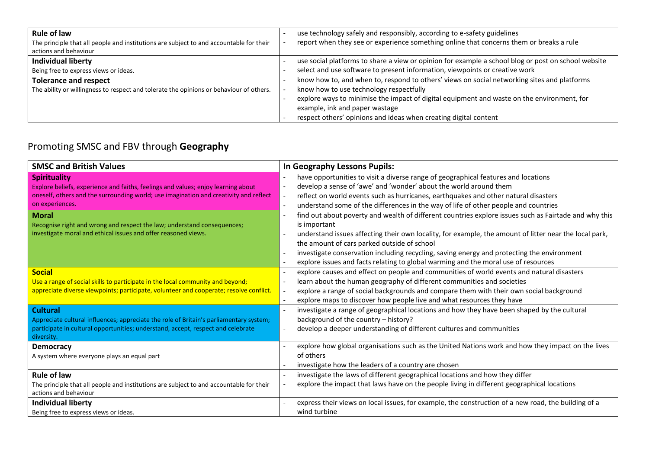| <b>Rule of law</b>                                                                      | use technology safely and responsibly, according to e-safety guidelines                             |
|-----------------------------------------------------------------------------------------|-----------------------------------------------------------------------------------------------------|
| The principle that all people and institutions are subject to and accountable for their | report when they see or experience something online that concerns them or breaks a rule             |
| actions and behaviour                                                                   |                                                                                                     |
| <b>Individual liberty</b>                                                               | use social platforms to share a view or opinion for example a school blog or post on school website |
| Being free to express views or ideas.                                                   | select and use software to present information, viewpoints or creative work                         |
| <b>Tolerance and respect</b>                                                            | know how to, and when to, respond to others' views on social networking sites and platforms         |
| The ability or willingness to respect and tolerate the opinions or behaviour of others. | know how to use technology respectfully                                                             |
|                                                                                         | explore ways to minimise the impact of digital equipment and waste on the environment, for          |
|                                                                                         | example, ink and paper wastage                                                                      |
|                                                                                         | respect others' opinions and ideas when creating digital content                                    |

## Promoting SMSC and FBV through **Geography**

| <b>SMSC and British Values</b>                                                                                                                                                                                       | In Geography Lessons Pupils:                                                                                                                                                                                                                                                                                                                                                                                                                                                                   |
|----------------------------------------------------------------------------------------------------------------------------------------------------------------------------------------------------------------------|------------------------------------------------------------------------------------------------------------------------------------------------------------------------------------------------------------------------------------------------------------------------------------------------------------------------------------------------------------------------------------------------------------------------------------------------------------------------------------------------|
| <b>Spirituality</b><br>Explore beliefs, experience and faiths, feelings and values; enjoy learning about<br>oneself, others and the surrounding world; use imagination and creativity and reflect<br>on experiences. | have opportunities to visit a diverse range of geographical features and locations<br>develop a sense of 'awe' and 'wonder' about the world around them<br>$\blacksquare$<br>reflect on world events such as hurricanes, earthquakes and other natural disasters<br>$\overline{\phantom{a}}$<br>understand some of the differences in the way of life of other people and countries<br>$\overline{\phantom{a}}$                                                                                |
| <b>Moral</b><br>Recognise right and wrong and respect the law; understand consequences;<br>investigate moral and ethical issues and offer reasoned views.                                                            | find out about poverty and wealth of different countries explore issues such as Fairtade and why this<br>$\overline{\phantom{a}}$<br>is important<br>understand issues affecting their own locality, for example, the amount of litter near the local park,<br>the amount of cars parked outside of school<br>investigate conservation including recycling, saving energy and protecting the environment<br>explore issues and facts relating to global warming and the moral use of resources |
| <b>Social</b><br>Use a range of social skills to participate in the local community and beyond;<br>appreciate diverse viewpoints; participate, volunteer and cooperate; resolve conflict.                            | explore causes and effect on people and communities of world events and natural disasters<br>$\blacksquare$<br>learn about the human geography of different communities and societies<br>$\overline{\phantom{a}}$<br>explore a range of social backgrounds and compare them with their own social background<br>$\overline{\phantom{a}}$<br>explore maps to discover how people live and what resources they have<br>$\overline{\phantom{a}}$                                                  |
| <b>Cultural</b><br>Appreciate cultural influences; appreciate the role of Britain's parliamentary system;<br>participate in cultural opportunities; understand, accept, respect and celebrate<br>diversity.          | investigate a range of geographical locations and how they have been shaped by the cultural<br>background of the country - history?<br>develop a deeper understanding of different cultures and communities<br>$\blacksquare$                                                                                                                                                                                                                                                                  |
| <b>Democracy</b><br>A system where everyone plays an equal part                                                                                                                                                      | explore how global organisations such as the United Nations work and how they impact on the lives<br>of others<br>investigate how the leaders of a country are chosen                                                                                                                                                                                                                                                                                                                          |
| <b>Rule of law</b><br>The principle that all people and institutions are subject to and accountable for their<br>actions and behaviour                                                                               | investigate the laws of different geographical locations and how they differ<br>explore the impact that laws have on the people living in different geographical locations                                                                                                                                                                                                                                                                                                                     |
| <b>Individual liberty</b><br>Being free to express views or ideas.                                                                                                                                                   | express their views on local issues, for example, the construction of a new road, the building of a<br>wind turbine                                                                                                                                                                                                                                                                                                                                                                            |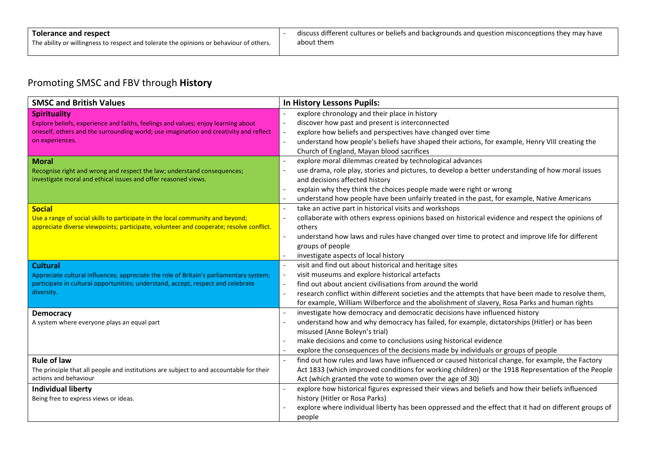#### Promoting SMSC and FBV through **History**

| <b>SMSC and British Values</b>                                                                                   | In History Lessons Pupils:                                                                                                                                     |
|------------------------------------------------------------------------------------------------------------------|----------------------------------------------------------------------------------------------------------------------------------------------------------------|
| <b>Spirituality</b>                                                                                              | explore chronology and their place in history                                                                                                                  |
| Explore beliefs, experience and faiths, feelings and values; enjoy learning about                                | discover how past and present is interconnected<br>$\blacksquare$                                                                                              |
| oneself, others and the surrounding world; use imagination and creativity and reflect                            | explore how beliefs and perspectives have changed over time<br>$\blacksquare$                                                                                  |
| on experiences.                                                                                                  | understand how people's beliefs have shaped their actions, for example, Henry VIII creating the<br>$\overline{\phantom{a}}$                                    |
|                                                                                                                  | Church of England, Mayan blood sacrifices                                                                                                                      |
| <b>Moral</b>                                                                                                     | explore moral dilemmas created by technological advances                                                                                                       |
| Recognise right and wrong and respect the law; understand consequences;                                          | use drama, role play, stories and pictures, to develop a better understanding of how moral issues<br>$\overline{\phantom{a}}$                                  |
| investigate moral and ethical issues and offer reasoned views.                                                   | and decisions affected history                                                                                                                                 |
|                                                                                                                  | explain why they think the choices people made were right or wrong<br>$\blacksquare$                                                                           |
|                                                                                                                  | understand how people have been unfairly treated in the past, for example, Native Americans                                                                    |
| <b>Social</b>                                                                                                    | take an active part in historical visits and workshops<br>$\overline{a}$                                                                                       |
| Use a range of social skills to participate in the local community and beyond;                                   | collaborate with others express opinions based on historical evidence and respect the opinions of                                                              |
| appreciate diverse viewpoints; participate, volunteer and cooperate; resolve conflict.                           | others                                                                                                                                                         |
|                                                                                                                  | understand how laws and rules have changed over time to protect and improve life for different<br>$\overline{\phantom{a}}$                                     |
|                                                                                                                  | groups of people                                                                                                                                               |
|                                                                                                                  | investigate aspects of local history                                                                                                                           |
| <b>Cultural</b>                                                                                                  | visit and find out about historical and heritage sites<br>$\sim$                                                                                               |
| Appreciate cultural influences; appreciate the role of Britain's parliamentary system;                           | visit museums and explore historical artefacts<br>$\overline{\phantom{a}}$                                                                                     |
| participate in cultural opportunities; understand, accept, respect and celebrate                                 | find out about ancient civilisations from around the world<br>$\blacksquare$                                                                                   |
| diversity.                                                                                                       | research conflict within different societies and the attempts that have been made to resolve them,<br>$\overline{\phantom{a}}$                                 |
|                                                                                                                  | for example, William Wilberforce and the abolishment of slavery, Rosa Parks and human rights                                                                   |
| <b>Democracy</b>                                                                                                 | investigate how democracy and democratic decisions have influenced history                                                                                     |
| A system where everyone plays an equal part                                                                      | understand how and why democracy has failed, for example, dictatorships (Hitler) or has been                                                                   |
|                                                                                                                  | misused (Anne Boleyn's trial)                                                                                                                                  |
|                                                                                                                  | make decisions and come to conclusions using historical evidence                                                                                               |
|                                                                                                                  | explore the consequences of the decisions made by individuals or groups of people                                                                              |
| <b>Rule of law</b>                                                                                               | find out how rules and laws have influenced or caused historical change, for example, the Factory<br>$\overline{a}$                                            |
| The principle that all people and institutions are subject to and accountable for their<br>actions and behaviour | Act 1833 (which improved conditions for working children) or the 1918 Representation of the People<br>Act (which granted the vote to women over the age of 30) |
|                                                                                                                  | explore how historical figures expressed their views and beliefs and how their beliefs influenced                                                              |
| <b>Individual liberty</b><br>Being free to express views or ideas.                                               | history (Hitler or Rosa Parks)                                                                                                                                 |
|                                                                                                                  | explore where individual liberty has been oppressed and the effect that it had on different groups of                                                          |
|                                                                                                                  |                                                                                                                                                                |
|                                                                                                                  | people                                                                                                                                                         |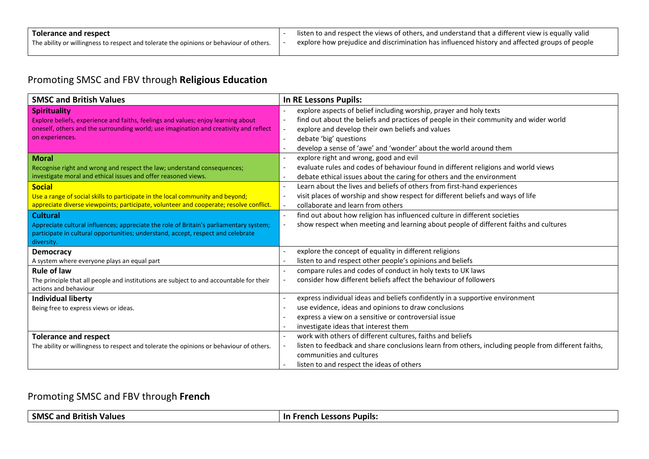#### Promoting SMSC and FBV through **Religious Education**

| <b>SMSC and British Values</b>                                                          | <b>In RE Lessons Pupils:</b>                                                                                                    |
|-----------------------------------------------------------------------------------------|---------------------------------------------------------------------------------------------------------------------------------|
| <b>Spirituality</b>                                                                     | explore aspects of belief including worship, prayer and holy texts<br>$\overline{a}$                                            |
| Explore beliefs, experience and faiths, feelings and values; enjoy learning about       | find out about the beliefs and practices of people in their community and wider world<br>$\overline{\phantom{a}}$               |
| oneself, others and the surrounding world; use imagination and creativity and reflect   | explore and develop their own beliefs and values<br>$\overline{\phantom{a}}$                                                    |
| on experiences.                                                                         | debate 'big' questions<br>$\sim$                                                                                                |
|                                                                                         | develop a sense of 'awe' and 'wonder' about the world around them                                                               |
| <b>Moral</b>                                                                            | explore right and wrong, good and evil<br>$\overline{\phantom{a}}$                                                              |
| Recognise right and wrong and respect the law; understand consequences;                 | evaluate rules and codes of behaviour found in different religions and world views<br>$\overline{\phantom{a}}$                  |
| investigate moral and ethical issues and offer reasoned views.                          | debate ethical issues about the caring for others and the environment<br>$\overline{\phantom{a}}$                               |
| <b>Social</b>                                                                           | Learn about the lives and beliefs of others from first-hand experiences<br>$\overline{\phantom{a}}$                             |
| Use a range of social skills to participate in the local community and beyond;          | visit places of worship and show respect for different beliefs and ways of life<br>$\blacksquare$                               |
| appreciate diverse viewpoints; participate, volunteer and cooperate; resolve conflict.  | collaborate and learn from others<br>$\overline{\phantom{a}}$                                                                   |
| <b>Cultural</b>                                                                         | find out about how religion has influenced culture in different societies<br>$\overline{\phantom{a}}$                           |
| Appreciate cultural influences; appreciate the role of Britain's parliamentary system;  | show respect when meeting and learning about people of different faiths and cultures<br>$\overline{\phantom{a}}$                |
| participate in cultural opportunities; understand, accept, respect and celebrate        |                                                                                                                                 |
| diversity.                                                                              |                                                                                                                                 |
| <b>Democracy</b>                                                                        | explore the concept of equality in different religions                                                                          |
| A system where everyone plays an equal part                                             | listen to and respect other people's opinions and beliefs                                                                       |
| <b>Rule of law</b>                                                                      | compare rules and codes of conduct in holy texts to UK laws                                                                     |
| The principle that all people and institutions are subject to and accountable for their | consider how different beliefs affect the behaviour of followers                                                                |
| actions and behaviour                                                                   |                                                                                                                                 |
| <b>Individual liberty</b>                                                               | express individual ideas and beliefs confidently in a supportive environment<br>$\overline{\phantom{a}}$                        |
| Being free to express views or ideas.                                                   | use evidence, ideas and opinions to draw conclusions                                                                            |
|                                                                                         | express a view on a sensitive or controversial issue<br>$\overline{\phantom{a}}$                                                |
|                                                                                         | investigate ideas that interest them                                                                                            |
| <b>Tolerance and respect</b>                                                            | work with others of different cultures, faiths and beliefs<br>$\overline{\phantom{a}}$                                          |
| The ability or willingness to respect and tolerate the opinions or behaviour of others. | listen to feedback and share conclusions learn from others, including people from different faiths,<br>$\overline{\phantom{a}}$ |
|                                                                                         | communities and cultures                                                                                                        |
|                                                                                         | listen to and respect the ideas of others                                                                                       |

#### Promoting SMSC and FBV through **French**

| <b>SMSC</b><br>.<br>and<br>Values<br>.<br>יוכו<br>. | -In<br><b>Pupils.</b><br>.<br>. .<br>ancı.<br>эuг |
|-----------------------------------------------------|---------------------------------------------------|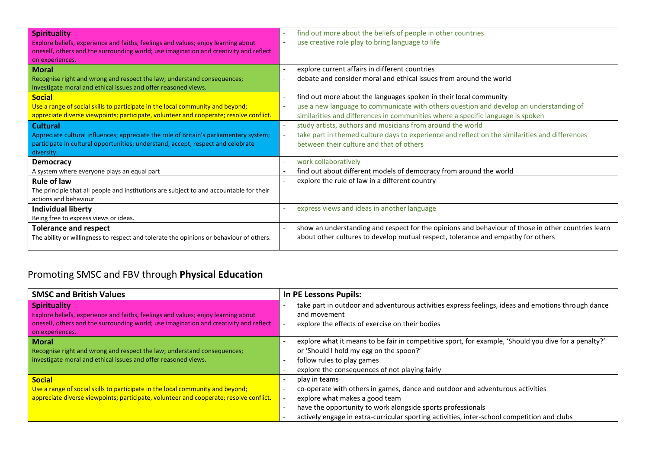| <b>Spirituality</b><br>Explore beliefs, experience and faiths, feelings and values; enjoy learning about<br>oneself, others and the surrounding world; use imagination and creativity and reflect           | find out more about the beliefs of people in other countries<br>use creative role play to bring language to life                                                                                                                               |
|-------------------------------------------------------------------------------------------------------------------------------------------------------------------------------------------------------------|------------------------------------------------------------------------------------------------------------------------------------------------------------------------------------------------------------------------------------------------|
| on experiences.<br><b>Moral</b><br>Recognise right and wrong and respect the law; understand consequences;<br>investigate moral and ethical issues and offer reasoned views.                                | explore current affairs in different countries<br>$\blacksquare$<br>debate and consider moral and ethical issues from around the world                                                                                                         |
| <b>Social</b><br>Use a range of social skills to participate in the local community and beyond;<br>appreciate diverse viewpoints; participate, volunteer and cooperate; resolve conflict.                   | find out more about the languages spoken in their local community<br>use a new language to communicate with others question and develop an understanding of<br>similarities and differences in communities where a specific language is spoken |
| <b>Cultural</b><br>Appreciate cultural influences; appreciate the role of Britain's parliamentary system;<br>participate in cultural opportunities; understand, accept, respect and celebrate<br>diversity. | study artists, authors and musicians from around the world<br>take part in themed culture days to experience and reflect on the similarities and differences<br>between their culture and that of others                                       |
| <b>Democracy</b><br>A system where everyone plays an equal part                                                                                                                                             | work collaboratively<br>find out about different models of democracy from around the world                                                                                                                                                     |
| <b>Rule of law</b><br>The principle that all people and institutions are subject to and accountable for their<br>actions and behaviour                                                                      | explore the rule of law in a different country                                                                                                                                                                                                 |
| <b>Individual liberty</b><br>Being free to express views or ideas.                                                                                                                                          | express views and ideas in another language                                                                                                                                                                                                    |
| <b>Tolerance and respect</b><br>The ability or willingness to respect and tolerate the opinions or behaviour of others.                                                                                     | show an understanding and respect for the opinions and behaviour of those in other countries learn<br>about other cultures to develop mutual respect, tolerance and empathy for others                                                         |

# Promoting SMSC and FBV through **Physical Education**

| <b>SMSC and British Values</b>                                                                                                                                                                                       | <b>In PE Lessons Pupils:</b>                                                                                                                                                                                                                                                                                                    |
|----------------------------------------------------------------------------------------------------------------------------------------------------------------------------------------------------------------------|---------------------------------------------------------------------------------------------------------------------------------------------------------------------------------------------------------------------------------------------------------------------------------------------------------------------------------|
| <b>Spirituality</b><br>Explore beliefs, experience and faiths, feelings and values; enjoy learning about<br>oneself, others and the surrounding world; use imagination and creativity and reflect<br>on experiences. | take part in outdoor and adventurous activities express feelings, ideas and emotions through dance<br>and movement<br>explore the effects of exercise on their bodies                                                                                                                                                           |
| <b>Moral</b><br>Recognise right and wrong and respect the law; understand consequences;<br>investigate moral and ethical issues and offer reasoned views.                                                            | explore what it means to be fair in competitive sport, for example, 'Should you dive for a penalty?'<br>or 'Should I hold my egg on the spoon?'<br>follow rules to play games<br>explore the consequences of not playing fairly                                                                                                 |
| <b>Social</b><br>Use a range of social skills to participate in the local community and beyond;<br>appreciate diverse viewpoints; participate, volunteer and cooperate; resolve conflict.                            | play in teams<br>co-operate with others in games, dance and outdoor and adventurous activities<br>explore what makes a good team<br>-<br>have the opportunity to work alongside sports professionals<br>$\overline{\phantom{a}}$<br>actively engage in extra-curricular sporting activities, inter-school competition and clubs |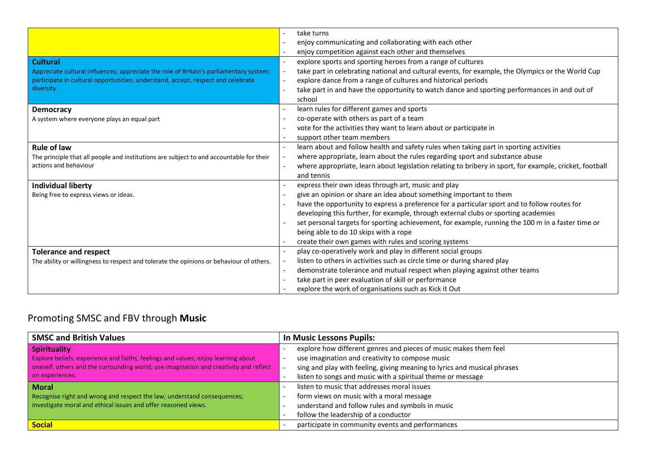| <b>Cultural</b>                                                                                                                                                            | take turns<br>enjoy communicating and collaborating with each other<br>enjoy competition against each other and themselves<br>explore sports and sporting heroes from a range of cultures<br>$\overline{\phantom{a}}$                                                                                                                                   |
|----------------------------------------------------------------------------------------------------------------------------------------------------------------------------|---------------------------------------------------------------------------------------------------------------------------------------------------------------------------------------------------------------------------------------------------------------------------------------------------------------------------------------------------------|
| Appreciate cultural influences; appreciate the role of Britain's parliamentary system;<br>participate in cultural opportunities; understand, accept, respect and celebrate | take part in celebrating national and cultural events, for example, the Olympics or the World Cup<br>$\overline{\phantom{a}}$<br>explore dance from a range of cultures and historical periods<br>$\overline{\phantom{a}}$                                                                                                                              |
| diversity.                                                                                                                                                                 | take part in and have the opportunity to watch dance and sporting performances in and out of<br>school                                                                                                                                                                                                                                                  |
| <b>Democracy</b>                                                                                                                                                           | learn rules for different games and sports                                                                                                                                                                                                                                                                                                              |
| A system where everyone plays an equal part                                                                                                                                | co-operate with others as part of a team<br>vote for the activities they want to learn about or participate in                                                                                                                                                                                                                                          |
|                                                                                                                                                                            | support other team members                                                                                                                                                                                                                                                                                                                              |
| <b>Rule of law</b><br>The principle that all people and institutions are subject to and accountable for their<br>actions and behaviour                                     | learn about and follow health and safety rules when taking part in sporting activities<br>$\overline{\phantom{a}}$<br>where appropriate, learn about the rules regarding sport and substance abuse<br>$\overline{\phantom{a}}$<br>where appropriate, learn about legislation relating to bribery in sport, for example, cricket, football<br>and tennis |
| <b>Individual liberty</b>                                                                                                                                                  | express their own ideas through art, music and play                                                                                                                                                                                                                                                                                                     |
| Being free to express views or ideas.                                                                                                                                      | give an opinion or share an idea about something important to them                                                                                                                                                                                                                                                                                      |
|                                                                                                                                                                            | have the opportunity to express a preference for a particular sport and to follow routes for<br>developing this further, for example, through external clubs or sporting academies                                                                                                                                                                      |
|                                                                                                                                                                            | set personal targets for sporting achievement, for example, running the 100 m in a faster time or<br>being able to do 10 skips with a rope                                                                                                                                                                                                              |
|                                                                                                                                                                            | create their own games with rules and scoring systems                                                                                                                                                                                                                                                                                                   |
| <b>Tolerance and respect</b>                                                                                                                                               | play co-operatively work and play in different social groups<br>listen to others in activities such as circle time or during shared play<br>$\overline{\phantom{a}}$                                                                                                                                                                                    |
| The ability or willingness to respect and tolerate the opinions or behaviour of others.                                                                                    | demonstrate tolerance and mutual respect when playing against other teams<br>$\overline{\phantom{a}}$                                                                                                                                                                                                                                                   |
|                                                                                                                                                                            | take part in peer evaluation of skill or performance<br>$\overline{\phantom{a}}$                                                                                                                                                                                                                                                                        |
|                                                                                                                                                                            | explore the work of organisations such as Kick it Out                                                                                                                                                                                                                                                                                                   |

## Promoting SMSC and FBV through **Music**

| <b>SMSC and British Values</b>                                                        | <b>In Music Lessons Pupils:</b>                                          |
|---------------------------------------------------------------------------------------|--------------------------------------------------------------------------|
| <b>Spirituality</b>                                                                   | explore how different genres and pieces of music makes them feel         |
| Explore beliefs, experience and faiths, feelings and values; enjoy learning about     | use imagination and creativity to compose music                          |
| oneself, others and the surrounding world; use imagination and creativity and reflect | sing and play with feeling, giving meaning to lyrics and musical phrases |
| on experiences.                                                                       | listen to songs and music with a spiritual theme or message              |
| <b>Moral</b>                                                                          | listen to music that addresses moral issues                              |
| Recognise right and wrong and respect the law; understand consequences;               | form views on music with a moral message                                 |
| investigate moral and ethical issues and offer reasoned views.                        | understand and follow rules and symbols in music                         |
|                                                                                       | follow the leadership of a conductor                                     |
| Social                                                                                | participate in community events and performances                         |